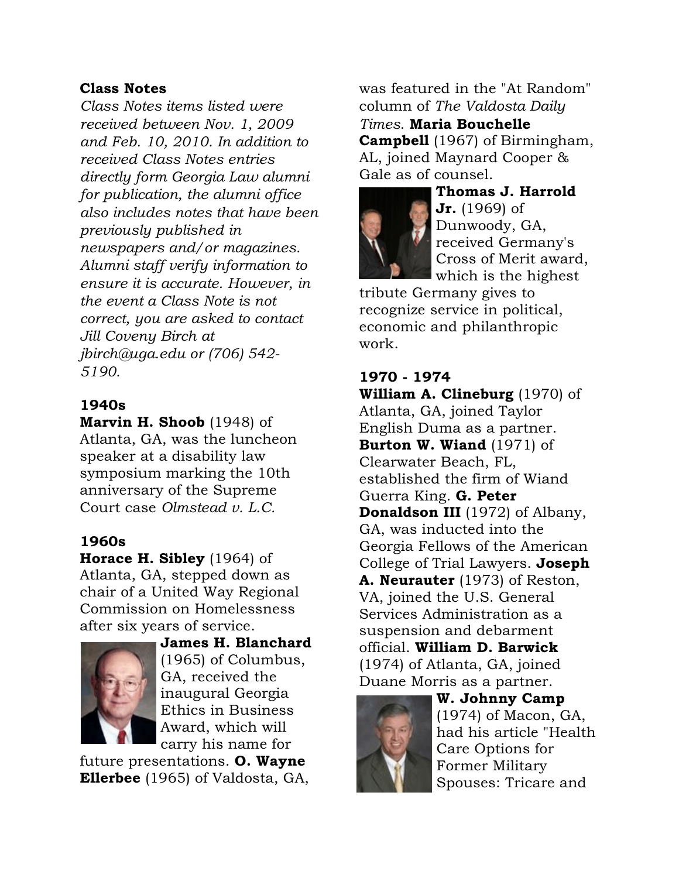## Class Notes

*Class Notes items listed were received between Nov. 1, 2009 and Feb. 10, 2010. In addition to received Class Notes entries directly form Georgia Law alumni for publication, the alumni office also includes notes that have been previously published in newspapers and/or magazines. Alumni staff verify information to ensure it is accurate. However, in the event a Class Note is not correct, you are asked to contact Jill Coveny Birch at jbirch@uga.edu or (706) 542- 5190.*

# 1940s

Marvin H. Shoob (1948) of Atlanta, GA, was the luncheon speaker at a disability law symposium marking the 10th anniversary of the Supreme Court case *Olmstead v. L.C.*

## 1960s

Horace H. Sibley (1964) of Atlanta, GA, stepped down as chair of a United Way Regional Commission on Homelessness after six years of service.



James H. Blanchard (1965) of Columbus, GA, received the inaugural Georgia Ethics in Business Award, which will carry his name for

future presentations. O. Wayne Ellerbee (1965) of Valdosta, GA, was featured in the "At Random" column of *The Valdosta Daily Times*. Maria Bouchelle Campbell (1967) of Birmingham, AL, joined Maynard Cooper & Gale as of counsel.



Thomas J. Harrold **Jr.** (1969) of Dunwoody, GA, received Germany's Cross of Merit award, which is the highest

tribute Germany gives to recognize service in political, economic and philanthropic work.

#### 1970 - 1974

William A. Clineburg (1970) of Atlanta, GA, joined Taylor English Duma as a partner. Burton W. Wiand (1971) of Clearwater Beach, FL, established the firm of Wiand Guerra King. G. Peter Donaldson III (1972) of Albany, GA, was inducted into the Georgia Fellows of the American College of Trial Lawyers. **Joseph** A. Neurauter (1973) of Reston, VA, joined the U.S. General Services Administration as a suspension and debarment official. William D. Barwick (1974) of Atlanta, GA, joined Duane Morris as a partner.



W. Johnny Camp (1974) of Macon, GA, had his article "Health Care Options for Former Military Spouses: Tricare and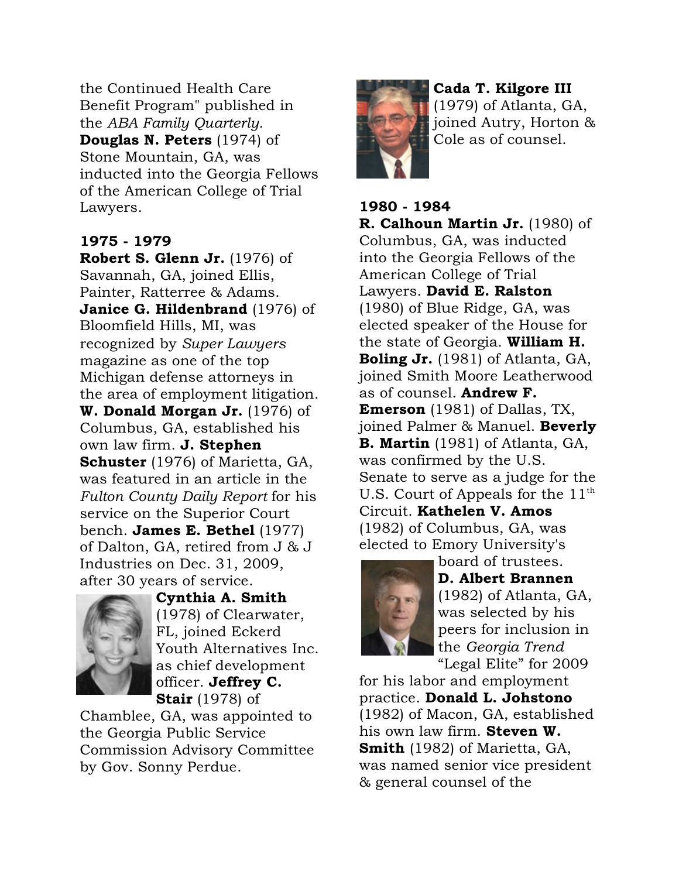the Continued Health Care Benefit Program" published in the *ABA Family Quarterly*. Douglas N. Peters (1974) of Stone Mountain, GA, was inducted into the Georgia Fellows of the American College of Trial Lawyers.

#### 1975 - 1979

Robert S. Glenn Jr. (1976) of Savannah, GA, joined Ellis, Painter, Ratterree & Adams. **Janice G. Hildenbrand** (1976) of Bloomfield Hills, MI, was recognized by *Super Lawyers* magazine as one of the top Michigan defense attorneys in the area of employment litigation. W. Donald Morgan Jr. (1976) of Columbus, GA, established his own law firm. J. Stephen Schuster (1976) of Marietta, GA, was featured in an article in the *Fulton County Daily Report* for his service on the Superior Court bench. James E. Bethel (1977) of Dalton, GA, retired from J & J Industries on Dec. 31, 2009, after 30 years of service.



Cynthia A. Smith (1978) of Clearwater, FL, joined Eckerd Youth Alternatives Inc. as chief development officer. Jeffrey C. **Stair** (1978) of

Chamblee, GA, was appointed to the Georgia Public Service Commission Advisory Committee by Gov. Sonny Perdue.



Cada T. Kilgore III

(1979) of Atlanta, GA, joined Autry, Horton & Cole as of counsel.

1980 - 1984 R. Calhoun Martin Jr. (1980) of Columbus, GA, was inducted into the Georgia Fellows of the American College of Trial Lawyers. David E. Ralston (1980) of Blue Ridge, GA, was elected speaker of the House for the state of Georgia. William H. **Boling Jr.** (1981) of Atlanta, GA, joined Smith Moore Leatherwood as of counsel. **Andrew F. Emerson** (1981) of Dallas, TX, joined Palmer & Manuel. Beverly B. Martin (1981) of Atlanta, GA, was confirmed by the U.S. Senate to serve as a judge for the U.S. Court of Appeals for the  $11^{\text{th}}$ Circuit. Kathelen V. Amos (1982) of Columbus, GA, was elected to Emory University's



board of trustees. D. Albert Brannen (1982) of Atlanta, GA, was selected by his peers for inclusion in the *Georgia Trend* "Legal Elite" for 2009

for his labor and employment practice. Donald L. Johstono (1982) of Macon, GA, established his own law firm. Steven W. Smith (1982) of Marietta, GA. was named senior vice president & general counsel of the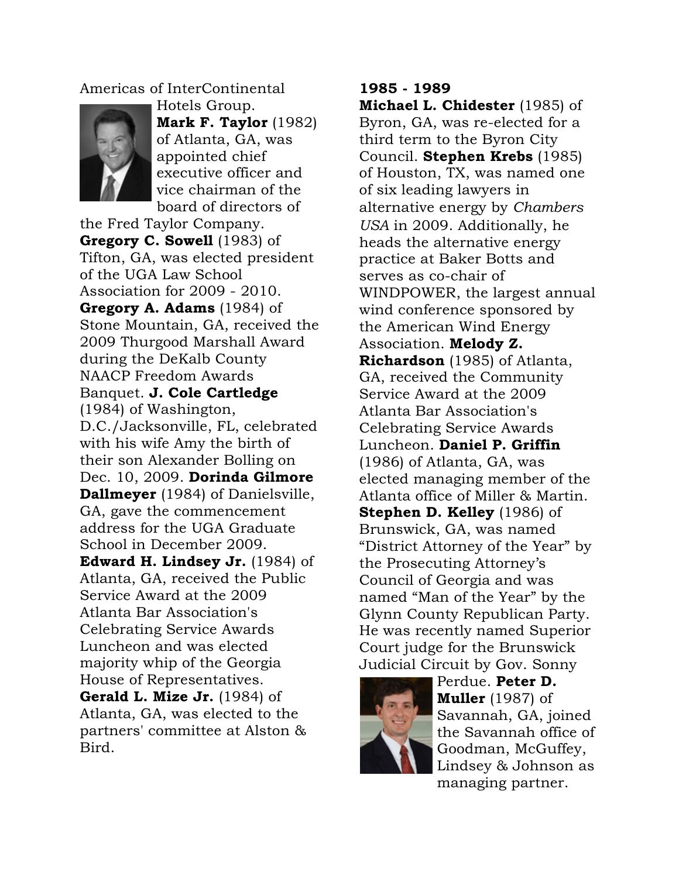Americas of InterContinental



Hotels Group. Mark F. Taylor (1982) of Atlanta, GA, was appointed chief executive officer and vice chairman of the board of directors of

the Fred Taylor Company. Gregory C. Sowell (1983) of Tifton, GA, was elected president of the UGA Law School Association for 2009 - 2010. Gregory A. Adams (1984) of Stone Mountain, GA, received the 2009 Thurgood Marshall Award during the DeKalb County NAACP Freedom Awards Banquet. J. Cole Cartledge (1984) of Washington, D.C./Jacksonville, FL, celebrated with his wife Amy the birth of their son Alexander Bolling on Dec. 10, 2009. Dorinda Gilmore Dallmeyer (1984) of Danielsville, GA, gave the commencement address for the UGA Graduate School in December 2009. Edward H. Lindsey Jr. (1984) of Atlanta, GA, received the Public Service Award at the 2009 Atlanta Bar Association's Celebrating Service Awards Luncheon and was elected majority whip of the Georgia House of Representatives. Gerald L. Mize Jr. (1984) of Atlanta, GA, was elected to the partners' committee at Alston & Bird.

## 1985 - 1989

Michael L. Chidester (1985) of Byron, GA, was re-elected for a third term to the Byron City Council. Stephen Krebs (1985) of Houston, TX, was named one of six leading lawyers in alternative energy by *Chambers USA* in 2009. Additionally, he heads the alternative energy practice at Baker Botts and serves as co-chair of WINDPOWER, the largest annual wind conference sponsored by the American Wind Energy Association. Melody Z. Richardson (1985) of Atlanta, GA, received the Community Service Award at the 2009 Atlanta Bar Association's Celebrating Service Awards Luncheon. Daniel P. Griffin (1986) of Atlanta, GA, was elected managing member of the Atlanta office of Miller & Martin. Stephen D. Kelley (1986) of Brunswick, GA, was named "District Attorney of the Year" by the Prosecuting Attorney's Council of Georgia and was named "Man of the Year" by the Glynn County Republican Party. He was recently named Superior Court judge for the Brunswick Judicial Circuit by Gov. Sonny



Perdue. Peter D. **Muller** (1987) of Savannah, GA, joined the Savannah office of Goodman, McGuffey, Lindsey & Johnson as managing partner.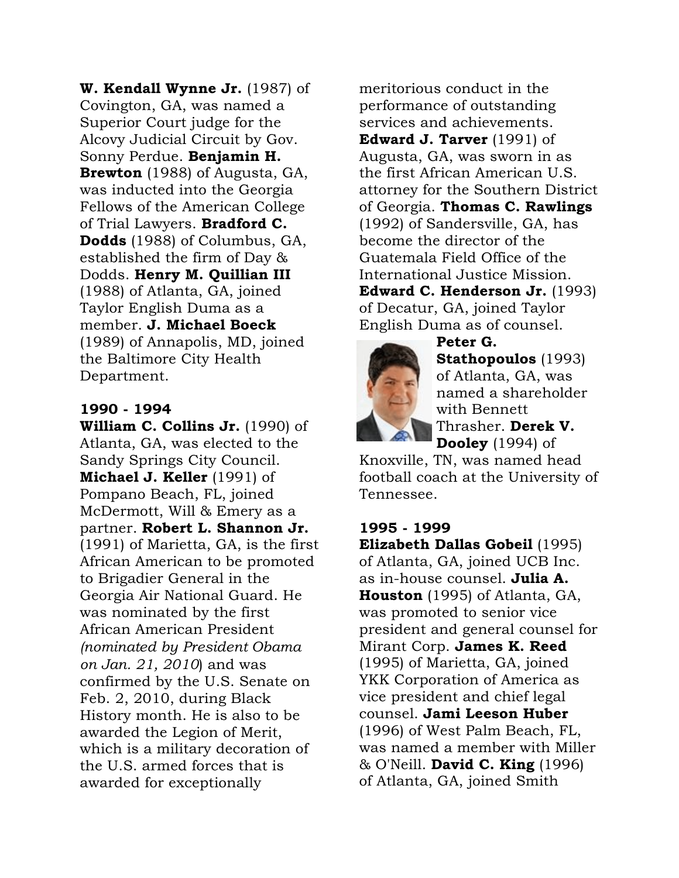W. Kendall Wynne Jr. (1987) of Covington, GA, was named a Superior Court judge for the Alcovy Judicial Circuit by Gov. Sonny Perdue. Benjamin H. Brewton (1988) of Augusta, GA, was inducted into the Georgia Fellows of the American College of Trial Lawyers. Bradford C. Dodds (1988) of Columbus, GA, established the firm of Day & Dodds. Henry M. Quillian III (1988) of Atlanta, GA, joined Taylor English Duma as a member. J. Michael Boeck (1989) of Annapolis, MD, joined the Baltimore City Health Department.

#### 1990 - 1994

William C. Collins Jr. (1990) of Atlanta, GA, was elected to the Sandy Springs City Council. **Michael J. Keller** (1991) of Pompano Beach, FL, joined McDermott, Will & Emery as a partner. Robert L. Shannon Jr. (1991) of Marietta, GA, is the first African American to be promoted to Brigadier General in the Georgia Air National Guard. He was nominated by the first African American President *(nominated by President Obama on Jan. 21, 2010*) and was confirmed by the U.S. Senate on Feb. 2, 2010, during Black History month. He is also to be awarded the Legion of Merit, which is a military decoration of the U.S. armed forces that is awarded for exceptionally

meritorious conduct in the performance of outstanding services and achievements. Edward J. Tarver (1991) of Augusta, GA, was sworn in as the first African American U.S. attorney for the Southern District of Georgia. Thomas C. Rawlings (1992) of Sandersville, GA, has become the director of the Guatemala Field Office of the International Justice Mission. Edward C. Henderson Jr. (1993) of Decatur, GA, joined Taylor English Duma as of counsel.



Peter G. Stathopoulos (1993) of Atlanta, GA, was named a shareholder with Bennett Thrasher. Derek V.

**Dooley** (1994) of Knoxville, TN, was named head football coach at the University of

# 1995 - 1999

Tennessee.

Elizabeth Dallas Gobeil (1995) of Atlanta, GA, joined UCB Inc. as in-house counsel. **Julia A.** Houston (1995) of Atlanta, GA, was promoted to senior vice president and general counsel for Mirant Corp. James K. Reed (1995) of Marietta, GA, joined YKK Corporation of America as vice president and chief legal counsel. Jami Leeson Huber (1996) of West Palm Beach, FL, was named a member with Miller & O'Neill. David C. King (1996) of Atlanta, GA, joined Smith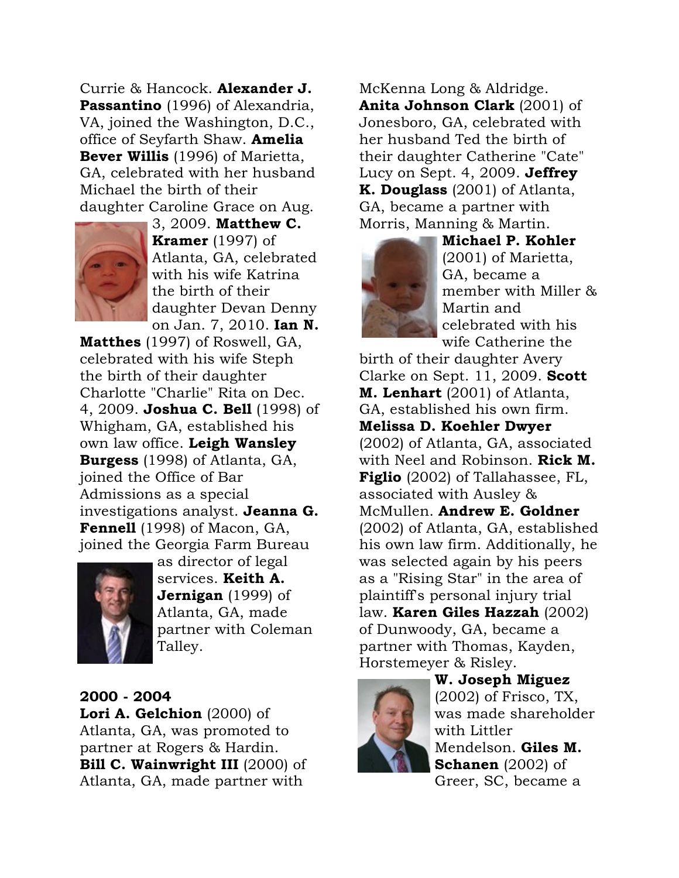Currie & Hancock. Alexander J. Passantino (1996) of Alexandria, VA, joined the Washington, D.C., office of Seyfarth Shaw. Amelia Bever Willis (1996) of Marietta, GA, celebrated with her husband Michael the birth of their daughter Caroline Grace on Aug.



3, 2009. Matthew C. **Kramer** (1997) of Atlanta, GA, celebrated with his wife Katrina the birth of their daughter Devan Denny on Jan. 7, 2010. Ian N.

Matthes (1997) of Roswell, GA, celebrated with his wife Steph the birth of their daughter Charlotte "Charlie" Rita on Dec. 4, 2009. Joshua C. Bell (1998) of Whigham, GA, established his own law office. Leigh Wansley Burgess (1998) of Atlanta, GA, joined the Office of Bar Admissions as a special investigations analyst. Jeanna G. Fennell (1998) of Macon, GA, joined the Georgia Farm Bureau



as director of legal services. **Keith A. Jernigan** (1999) of Atlanta, GA, made partner with Coleman Talley.

2000 - 2004 Lori A. Gelchion (2000) of Atlanta, GA, was promoted to partner at Rogers & Hardin. Bill C. Wainwright III (2000) of Atlanta, GA, made partner with

McKenna Long & Aldridge. Anita Johnson Clark (2001) of Jonesboro, GA, celebrated with her husband Ted the birth of their daughter Catherine "Cate" Lucy on Sept.  $4, 2009$ . Jeffrey K. Douglass (2001) of Atlanta, GA, became a partner with Morris, Manning & Martin.



Michael P. Kohler (2001) of Marietta, GA, became a member with Miller & Martin and celebrated with his wife Catherine the

birth of their daughter Avery Clarke on Sept. 11, 2009. Scott M. Lenhart (2001) of Atlanta, GA, established his own firm. Melissa D. Koehler Dwyer (2002) of Atlanta, GA, associated with Neel and Robinson. Rick M. **Figlio** (2002) of Tallahassee, FL, associated with Ausley & McMullen. Andrew E. Goldner (2002) of Atlanta, GA, established his own law firm. Additionally, he was selected again by his peers as a "Rising Star" in the area of plaintiff's personal injury trial law. Karen Giles Hazzah (2002) of Dunwoody, GA, became a partner with Thomas, Kayden, Horstemeyer & Risley.



W. Joseph Miguez (2002) of Frisco, TX, was made shareholder with Littler Mendelson. Giles M. Schanen (2002) of Greer, SC, became a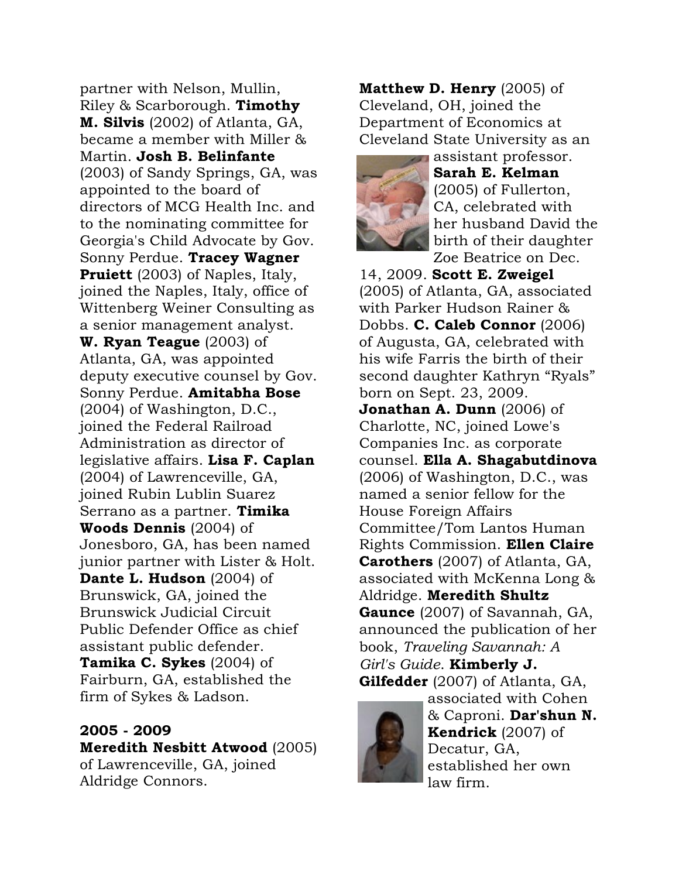partner with Nelson, Mullin, Riley & Scarborough. Timothy M. Silvis (2002) of Atlanta, GA, became a member with Miller & Martin. Josh B. Belinfante (2003) of Sandy Springs, GA, was appointed to the board of directors of MCG Health Inc. and to the nominating committee for Georgia's Child Advocate by Gov. Sonny Perdue. Tracey Wagner **Pruiett** (2003) of Naples, Italy, joined the Naples, Italy, office of Wittenberg Weiner Consulting as a senior management analyst. W. Ryan Teague (2003) of Atlanta, GA, was appointed deputy executive counsel by Gov. Sonny Perdue. Amitabha Bose (2004) of Washington, D.C., joined the Federal Railroad Administration as director of legislative affairs. Lisa F. Caplan (2004) of Lawrenceville, GA, joined Rubin Lublin Suarez Serrano as a partner. **Timika** Woods Dennis (2004) of Jonesboro, GA, has been named junior partner with Lister & Holt. Dante L. Hudson (2004) of Brunswick, GA, joined the Brunswick Judicial Circuit Public Defender Office as chief assistant public defender. **Tamika C. Sykes** (2004) of Fairburn, GA, established the firm of Sykes & Ladson.

#### 2005 - 2009

Meredith Nesbitt Atwood (2005) of Lawrenceville, GA, joined Aldridge Connors.

**Matthew D. Henry (2005) of** Cleveland, OH, joined the Department of Economics at Cleveland State University as an



assistant professor. Sarah E. Kelman (2005) of Fullerton, CA, celebrated with her husband David the birth of their daughter Zoe Beatrice on Dec.

14, 2009. Scott E. Zweigel (2005) of Atlanta, GA, associated with Parker Hudson Rainer & Dobbs. **C. Caleb Connor** (2006) of Augusta, GA, celebrated with his wife Farris the birth of their second daughter Kathryn "Ryals" born on Sept. 23, 2009. **Jonathan A. Dunn**  $(2006)$  of Charlotte, NC, joined Lowe's Companies Inc. as corporate counsel. Ella A. Shagabutdinova (2006) of Washington, D.C., was named a senior fellow for the House Foreign Affairs Committee/Tom Lantos Human Rights Commission. Ellen Claire Carothers (2007) of Atlanta, GA, associated with McKenna Long & Aldridge. Meredith Shultz Gaunce (2007) of Savannah, GA, announced the publication of her

book, *Traveling Savannah: A Girl's Guide*. Kimberly J. Gilfedder (2007) of Atlanta, GA,



associated with Cohen & Caproni. Dar'shun N. Kendrick (2007) of Decatur, GA, established her own law firm.